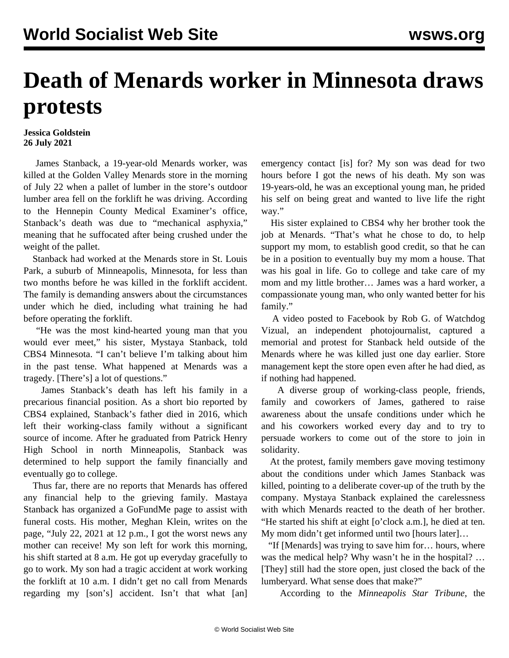## **Death of Menards worker in Minnesota draws protests**

## **Jessica Goldstein 26 July 2021**

 James Stanback, a 19-year-old Menards worker, was killed at the Golden Valley Menards store in the morning of July 22 when a pallet of lumber in the store's outdoor lumber area fell on the forklift he was driving. According to the Hennepin County Medical Examiner's office, Stanback's death was due to "mechanical asphyxia," meaning that he suffocated after being crushed under the weight of the pallet.

 Stanback had worked at the Menards store in St. Louis Park, a suburb of Minneapolis, Minnesota, for less than two months before he was killed in the forklift accident. The family is demanding answers about the circumstances under which he died, including what training he had before operating the forklift.

 "He was the most kind-hearted young man that you would ever meet," his sister, Mystaya Stanback, told CBS4 Minnesota. "I can't believe I'm talking about him in the past tense. What happened at Menards was a tragedy. [There's] a lot of questions."

 James Stanback's death has left his family in a precarious financial position. As a short bio reported by CBS4 explained, Stanback's father died in 2016, which left their working-class family without a significant source of income. After he graduated from Patrick Henry High School in north Minneapolis, Stanback was determined to help support the family financially and eventually go to college.

 Thus far, there are no reports that Menards has offered any financial help to the grieving family. Mastaya Stanback has organized a GoFundMe page to assist with funeral costs. His mother, Meghan Klein, writes on the page, "July 22, 2021 at 12 p.m., I got the worst news any mother can receive! My son left for work this morning, his shift started at 8 a.m. He got up everyday gracefully to go to work. My son had a tragic accident at work working the forklift at 10 a.m. I didn't get no call from Menards regarding my [son's] accident. Isn't that what [an] emergency contact [is] for? My son was dead for two hours before I got the news of his death. My son was 19-years-old, he was an exceptional young man, he prided his self on being great and wanted to live life the right way."

 His sister explained to CBS4 why her brother took the job at Menards. "That's what he chose to do, to help support my mom, to establish good credit, so that he can be in a position to eventually buy my mom a house. That was his goal in life. Go to college and take care of my mom and my little brother… James was a hard worker, a compassionate young man, who only wanted better for his family."

 A video posted to Facebook by Rob G. of Watchdog Vizual, an independent photojournalist, captured a memorial and protest for Stanback held outside of the Menards where he was killed just one day earlier. Store management kept the store open even after he had died, as if nothing had happened.

 A diverse group of working-class people, friends, family and coworkers of James, gathered to raise awareness about the unsafe conditions under which he and his coworkers worked every day and to try to persuade workers to come out of the store to join in solidarity.

 At the protest, family members gave moving testimony about the conditions under which James Stanback was killed, pointing to a deliberate cover-up of the truth by the company. Mystaya Stanback explained the carelessness with which Menards reacted to the death of her brother. "He started his shift at eight [o'clock a.m.], he died at ten. My mom didn't get informed until two [hours later]…

 "If [Menards] was trying to save him for… hours, where was the medical help? Why wasn't he in the hospital? … [They] still had the store open, just closed the back of the lumberyard. What sense does that make?"

According to the *Minneapolis Star Tribune*, the